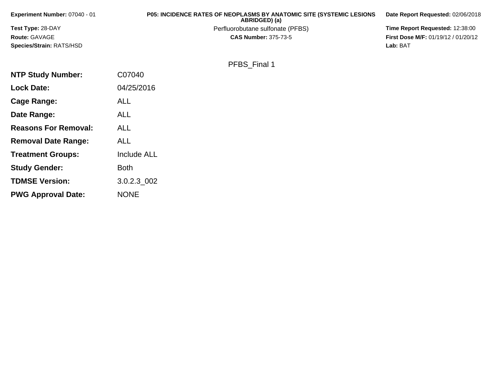| Experiment Number: 07040 - 01   | <b>P05: INCIDENCE RATES OF NEOPLASMS BY ANATOMIC SITE (SYSTEMIC LESIONS</b><br>ABRIDGED) (a) | Date Report Requested: 02/06/2018          |
|---------------------------------|----------------------------------------------------------------------------------------------|--------------------------------------------|
| <b>Test Type: 28-DAY</b>        | Perfluorobutane sulfonate (PFBS)                                                             | Time Report Requested: 12:38:00            |
| <b>Route: GAVAGE</b>            | <b>CAS Number: 375-73-5</b>                                                                  | <b>First Dose M/F: 01/19/12 / 01/20/12</b> |
| <b>Species/Strain: RATS/HSD</b> |                                                                                              | Lab: BAT                                   |
|                                 |                                                                                              |                                            |

PFBS\_Final 1

| <b>NTP Study Number:</b>    | C07040             |
|-----------------------------|--------------------|
| <b>Lock Date:</b>           | 04/25/2016         |
| Cage Range:                 | <b>ALL</b>         |
| Date Range:                 | ALL                |
| <b>Reasons For Removal:</b> | <b>ALL</b>         |
| <b>Removal Date Range:</b>  | ALL                |
| <b>Treatment Groups:</b>    | <b>Include ALL</b> |
| <b>Study Gender:</b>        | <b>Both</b>        |
| <b>TDMSE Version:</b>       | 3.0.2.3_002        |
| <b>PWG Approval Date:</b>   | <b>NONE</b>        |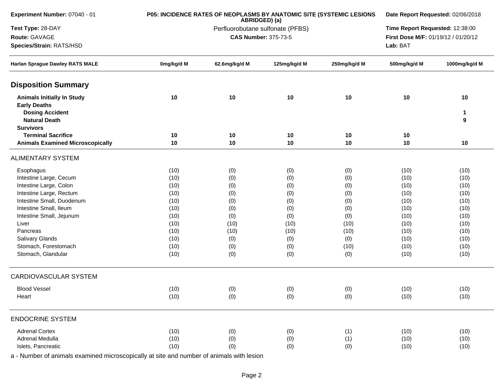| Experiment Number: 07040 - 01                                                                                                  |            | P05: INCIDENCE RATES OF NEOPLASMS BY ANATOMIC SITE (SYSTEMIC LESIONS<br>ABRIDGED) (a) | Date Report Requested: 02/06/2018 |                                 |                                     |                         |
|--------------------------------------------------------------------------------------------------------------------------------|------------|---------------------------------------------------------------------------------------|-----------------------------------|---------------------------------|-------------------------------------|-------------------------|
| Test Type: 28-DAY                                                                                                              |            | Perfluorobutane sulfonate (PFBS)                                                      |                                   | Time Report Requested: 12:38:00 |                                     |                         |
| Route: GAVAGE                                                                                                                  |            |                                                                                       | <b>CAS Number: 375-73-5</b>       |                                 | First Dose M/F: 01/19/12 / 01/20/12 |                         |
| Species/Strain: RATS/HSD                                                                                                       |            |                                                                                       |                                   |                                 | Lab: BAT                            |                         |
| Harlan Sprague Dawley RATS MALE                                                                                                | 0mg/kg/d M | 62.6mg/kg/d M                                                                         | 125mg/kg/d M                      | 250mg/kg/d M                    | 500mg/kg/d M                        | 1000mg/kg/d M           |
| <b>Disposition Summary</b>                                                                                                     |            |                                                                                       |                                   |                                 |                                     |                         |
| <b>Animals Initially In Study</b><br><b>Early Deaths</b><br><b>Dosing Accident</b><br><b>Natural Death</b><br><b>Survivors</b> | 10         | 10                                                                                    | 10                                | 10                              | 10                                  | 10<br>$\mathbf{1}$<br>9 |
| <b>Terminal Sacrifice</b>                                                                                                      | 10         | 10                                                                                    | 10                                | 10                              | 10                                  |                         |
| <b>Animals Examined Microscopically</b>                                                                                        | 10         | 10                                                                                    | 10                                | 10                              | 10                                  | 10                      |
| <b>ALIMENTARY SYSTEM</b>                                                                                                       |            |                                                                                       |                                   |                                 |                                     |                         |
| Esophagus                                                                                                                      | (10)       | (0)                                                                                   | (0)                               | (0)                             | (10)                                | (10)                    |
| Intestine Large, Cecum                                                                                                         | (10)       | (0)                                                                                   | (0)                               | (0)                             | (10)                                | (10)                    |
| Intestine Large, Colon                                                                                                         | (10)       | (0)                                                                                   | (0)                               | (0)                             | (10)                                | (10)                    |
| Intestine Large, Rectum                                                                                                        | (10)       | (0)                                                                                   | (0)                               | (0)                             | (10)                                | (10)                    |
| Intestine Small, Duodenum                                                                                                      | (10)       | (0)                                                                                   | (0)                               | (0)                             | (10)                                | (10)                    |
| Intestine Small, Ileum                                                                                                         | (10)       | (0)                                                                                   | (0)                               | (0)                             | (10)                                | (10)                    |
| Intestine Small, Jejunum                                                                                                       | (10)       | (0)                                                                                   | (0)                               | (0)                             | (10)                                | (10)                    |
| Liver                                                                                                                          | (10)       | (10)                                                                                  | (10)                              | (10)                            | (10)                                | (10)                    |
| Pancreas                                                                                                                       | (10)       | (10)                                                                                  | (10)                              | (10)                            | (10)                                | (10)                    |
| Salivary Glands                                                                                                                | (10)       | (0)                                                                                   | (0)                               | (0)                             | (10)                                | (10)                    |
| Stomach, Forestomach                                                                                                           | (10)       | (0)                                                                                   | (0)                               | (10)                            | (10)                                | (10)                    |
| Stomach, Glandular                                                                                                             | (10)       | (0)                                                                                   | (0)                               | (0)                             | (10)                                | (10)                    |
| CARDIOVASCULAR SYSTEM                                                                                                          |            |                                                                                       |                                   |                                 |                                     |                         |
| <b>Blood Vessel</b>                                                                                                            | (10)       | (0)                                                                                   | (0)                               | (0)                             | (10)                                | (10)                    |
| Heart                                                                                                                          | (10)       | (0)                                                                                   | (0)                               | (0)                             | (10)                                | (10)                    |
| <b>ENDOCRINE SYSTEM</b>                                                                                                        |            |                                                                                       |                                   |                                 |                                     |                         |
| <b>Adrenal Cortex</b>                                                                                                          | (10)       | (0)                                                                                   | (0)                               | (1)                             | (10)                                | (10)                    |
| Adrenal Medulla                                                                                                                | (10)       | (0)                                                                                   | (0)                               | (1)                             | (10)                                | (10)                    |
| Islets, Pancreatic                                                                                                             | (10)       | (0)                                                                                   | (0)                               | (0)                             | (10)                                | (10)                    |
|                                                                                                                                |            |                                                                                       |                                   |                                 |                                     |                         |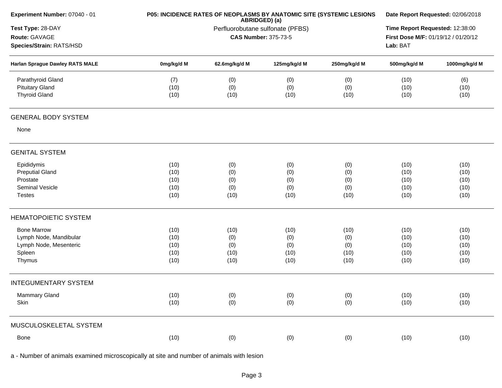| Experiment Number: 07040 - 01   | P05: INCIDENCE RATES OF NEOPLASMS BY ANATOMIC SITE (SYSTEMIC LESIONS | Date Report Requested: 02/06/2018 |              |              |                                     |               |
|---------------------------------|----------------------------------------------------------------------|-----------------------------------|--------------|--------------|-------------------------------------|---------------|
| Test Type: 28-DAY               |                                                                      | Time Report Requested: 12:38:00   |              |              |                                     |               |
| Route: GAVAGE                   |                                                                      | <b>CAS Number: 375-73-5</b>       |              |              | First Dose M/F: 01/19/12 / 01/20/12 |               |
| Species/Strain: RATS/HSD        |                                                                      |                                   |              |              | Lab: BAT                            |               |
| Harlan Sprague Dawley RATS MALE | 0mg/kg/d M                                                           | 62.6mg/kg/d M                     | 125mg/kg/d M | 250mg/kg/d M | 500mg/kg/d M                        | 1000mg/kg/d M |
| Parathyroid Gland               | (7)                                                                  | (0)                               | (0)          | (0)          | (10)                                | (6)           |
| <b>Pituitary Gland</b>          | (10)                                                                 | (0)                               | (0)          | (0)          | (10)                                | (10)          |
| <b>Thyroid Gland</b>            | (10)                                                                 | (10)                              | (10)         | (10)         | (10)                                | (10)          |
| <b>GENERAL BODY SYSTEM</b>      |                                                                      |                                   |              |              |                                     |               |
| None                            |                                                                      |                                   |              |              |                                     |               |
| <b>GENITAL SYSTEM</b>           |                                                                      |                                   |              |              |                                     |               |
| Epididymis                      | (10)                                                                 | (0)                               | (0)          | (0)          | (10)                                | (10)          |
| <b>Preputial Gland</b>          | (10)                                                                 | (0)                               | (0)          | (0)          | (10)                                | (10)          |
| Prostate                        | (10)                                                                 | (0)                               | (0)          | (0)          | (10)                                | (10)          |
| Seminal Vesicle                 | (10)                                                                 | (0)                               | (0)          | (0)          | (10)                                | (10)          |
| <b>Testes</b>                   | (10)                                                                 | (10)                              | (10)         | (10)         | (10)                                | (10)          |
| <b>HEMATOPOIETIC SYSTEM</b>     |                                                                      |                                   |              |              |                                     |               |
| <b>Bone Marrow</b>              | (10)                                                                 | (10)                              | (10)         | (10)         | (10)                                | (10)          |
| Lymph Node, Mandibular          | (10)                                                                 | (0)                               | (0)          | (0)          | (10)                                | (10)          |
| Lymph Node, Mesenteric          | (10)                                                                 | (0)                               | (0)          | (0)          | (10)                                | (10)          |
| Spleen                          | (10)                                                                 | (10)                              | (10)         | (10)         | (10)                                | (10)          |
| Thymus                          | (10)                                                                 | (10)                              | (10)         | (10)         | (10)                                | (10)          |
| <b>INTEGUMENTARY SYSTEM</b>     |                                                                      |                                   |              |              |                                     |               |
| <b>Mammary Gland</b>            | (10)                                                                 | (0)                               | (0)          | (0)          | (10)                                | (10)          |
| Skin                            | (10)                                                                 | (0)                               | (0)          | (0)          | (10)                                | (10)          |
| MUSCULOSKELETAL SYSTEM          |                                                                      |                                   |              |              |                                     |               |
| Bone                            | (10)                                                                 | (0)                               | (0)          | (0)          | (10)                                | (10)          |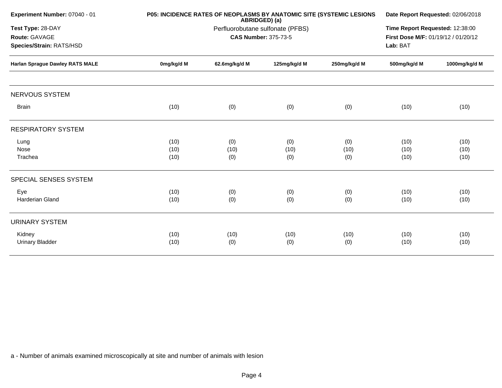| Experiment Number: 07040 - 01          |            | P05: INCIDENCE RATES OF NEOPLASMS BY ANATOMIC SITE (SYSTEMIC LESIONS<br>ABRIDGED) (a)<br>Perfluorobutane sulfonate (PFBS) |                             |              |                                     |               |
|----------------------------------------|------------|---------------------------------------------------------------------------------------------------------------------------|-----------------------------|--------------|-------------------------------------|---------------|
| Test Type: 28-DAY                      |            |                                                                                                                           |                             |              |                                     |               |
| Route: GAVAGE                          |            |                                                                                                                           | <b>CAS Number: 375-73-5</b> |              | First Dose M/F: 01/19/12 / 01/20/12 |               |
| Species/Strain: RATS/HSD               |            |                                                                                                                           |                             |              |                                     |               |
| <b>Harlan Sprague Dawley RATS MALE</b> | 0mg/kg/d M | 62.6mg/kg/d M                                                                                                             | 125mg/kg/d M                | 250mg/kg/d M | 500mg/kg/d M                        | 1000mg/kg/d M |
| <b>NERVOUS SYSTEM</b>                  |            |                                                                                                                           |                             |              |                                     |               |
| <b>Brain</b>                           | (10)       | (0)                                                                                                                       | (0)                         | (0)          | (10)                                | (10)          |
| <b>RESPIRATORY SYSTEM</b>              |            |                                                                                                                           |                             |              |                                     |               |
| Lung                                   | (10)       | (0)                                                                                                                       | (0)                         | (0)          | (10)                                | (10)          |
| Nose                                   | (10)       | (10)                                                                                                                      | (10)                        | (10)         | (10)                                | (10)          |
| Trachea                                | (10)       | (0)                                                                                                                       | (0)                         | (0)          | (10)                                | (10)          |
| SPECIAL SENSES SYSTEM                  |            |                                                                                                                           |                             |              |                                     |               |
| Eye                                    | (10)       | (0)                                                                                                                       | (0)                         | (0)          | (10)                                | (10)          |
| <b>Harderian Gland</b>                 | (10)       | (0)                                                                                                                       | (0)                         | (0)          | (10)                                | (10)          |
| <b>URINARY SYSTEM</b>                  |            |                                                                                                                           |                             |              |                                     |               |
| Kidney                                 | (10)       | (10)                                                                                                                      | (10)                        | (10)         | (10)                                | (10)          |
| <b>Urinary Bladder</b>                 | (10)       | (0)                                                                                                                       | (0)                         | (0)          | (10)                                | (10)          |
|                                        |            |                                                                                                                           |                             |              |                                     |               |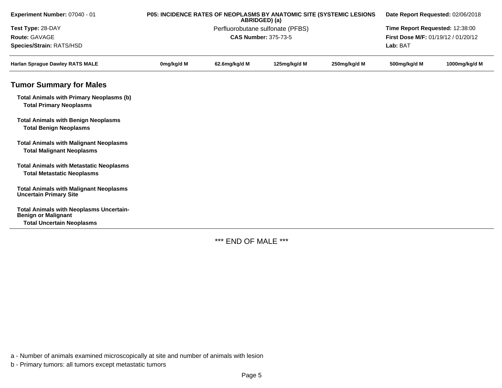| Experiment Number: 07040 - 01                                                       | P05: INCIDENCE RATES OF NEOPLASMS BY ANATOMIC SITE (SYSTEMIC LESIONS<br>ABRIDGED) (a) |                                  |                                 |              | Date Report Requested: 02/06/2018   |               |  |
|-------------------------------------------------------------------------------------|---------------------------------------------------------------------------------------|----------------------------------|---------------------------------|--------------|-------------------------------------|---------------|--|
| Test Type: 28-DAY                                                                   |                                                                                       | Perfluorobutane sulfonate (PFBS) | Time Report Requested: 12:38:00 |              |                                     |               |  |
| Route: GAVAGE                                                                       |                                                                                       | <b>CAS Number: 375-73-5</b>      |                                 |              | First Dose M/F: 01/19/12 / 01/20/12 |               |  |
| Species/Strain: RATS/HSD                                                            |                                                                                       |                                  |                                 |              | Lab: BAT                            |               |  |
| <b>Harlan Sprague Dawley RATS MALE</b>                                              | 0mg/kg/d M                                                                            | 62.6mg/kg/d M                    | 125mg/kg/d M                    | 250mg/kg/d M | 500mg/kg/d M                        | 1000mg/kg/d M |  |
| <b>Tumor Summary for Males</b>                                                      |                                                                                       |                                  |                                 |              |                                     |               |  |
| <b>Total Animals with Primary Neoplasms (b)</b><br><b>Total Primary Neoplasms</b>   |                                                                                       |                                  |                                 |              |                                     |               |  |
| <b>Total Animals with Benign Neoplasms</b><br><b>Total Benign Neoplasms</b>         |                                                                                       |                                  |                                 |              |                                     |               |  |
| <b>Total Animals with Malignant Neoplasms</b><br><b>Total Malignant Neoplasms</b>   |                                                                                       |                                  |                                 |              |                                     |               |  |
| <b>Total Animals with Metastatic Neoplasms</b><br><b>Total Metastatic Neoplasms</b> |                                                                                       |                                  |                                 |              |                                     |               |  |
| <b>Total Animals with Malignant Neoplasms</b><br><b>Uncertain Primary Site</b>      |                                                                                       |                                  |                                 |              |                                     |               |  |
| <b>Total Animals with Neoplasms Uncertain-</b><br><b>Benign or Malignant</b>        |                                                                                       |                                  |                                 |              |                                     |               |  |
| <b>Total Uncertain Neoplasms</b>                                                    |                                                                                       |                                  |                                 |              |                                     |               |  |

\*\*\* END OF MALE \*\*\*

a - Number of animals examined microscopically at site and number of animals with lesion

b - Primary tumors: all tumors except metastatic tumors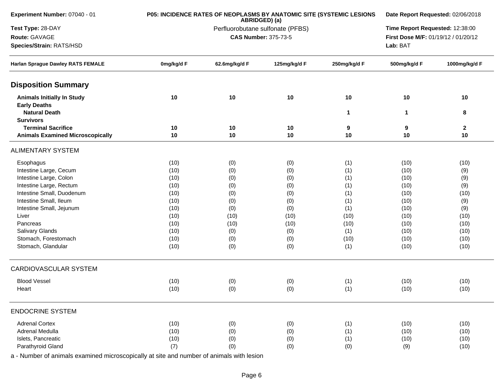| Experiment Number: 07040 - 01                            |            | P05: INCIDENCE RATES OF NEOPLASMS BY ANATOMIC SITE (SYSTEMIC LESIONS<br>ABRIDGED) (a) | Date Report Requested: 02/06/2018 |                                     |              |               |
|----------------------------------------------------------|------------|---------------------------------------------------------------------------------------|-----------------------------------|-------------------------------------|--------------|---------------|
| Test Type: 28-DAY                                        |            | Perfluorobutane sulfonate (PFBS)                                                      |                                   | Time Report Requested: 12:38:00     |              |               |
| Route: GAVAGE                                            |            | <b>CAS Number: 375-73-5</b>                                                           |                                   | First Dose M/F: 01/19/12 / 01/20/12 |              |               |
| Species/Strain: RATS/HSD                                 |            |                                                                                       |                                   |                                     | Lab: BAT     |               |
| <b>Harlan Sprague Dawley RATS FEMALE</b>                 | 0mg/kg/d F | 62.6mg/kg/d F                                                                         | 125mg/kg/d F                      | 250mg/kg/d F                        | 500mg/kg/d F | 1000mg/kg/d F |
| <b>Disposition Summary</b>                               |            |                                                                                       |                                   |                                     |              |               |
| <b>Animals Initially In Study</b><br><b>Early Deaths</b> | 10         | 10                                                                                    | 10                                | 10                                  | 10           | 10            |
| <b>Natural Death</b><br><b>Survivors</b>                 |            |                                                                                       |                                   | $\mathbf{1}$                        | 1            | 8             |
| <b>Terminal Sacrifice</b>                                | 10         | 10                                                                                    | 10                                | 9                                   | 9            | $\mathbf 2$   |
| <b>Animals Examined Microscopically</b>                  | 10         | 10                                                                                    | 10                                | 10                                  | 10           | 10            |
| <b>ALIMENTARY SYSTEM</b>                                 |            |                                                                                       |                                   |                                     |              |               |
| Esophagus                                                | (10)       | (0)                                                                                   | (0)                               | (1)                                 | (10)         | (10)          |
| Intestine Large, Cecum                                   | (10)       | (0)                                                                                   | (0)                               | (1)                                 | (10)         | (9)           |
| Intestine Large, Colon                                   | (10)       | (0)                                                                                   | (0)                               | (1)                                 | (10)         | (9)           |
| Intestine Large, Rectum                                  | (10)       | (0)                                                                                   | (0)                               | (1)                                 | (10)         | (9)           |
| Intestine Small, Duodenum                                | (10)       | (0)                                                                                   | (0)                               | (1)                                 | (10)         | (10)          |
| Intestine Small, Ileum                                   | (10)       | (0)                                                                                   | (0)                               | (1)                                 | (10)         | (9)           |
| Intestine Small, Jejunum                                 | (10)       | (0)                                                                                   | (0)                               | (1)                                 | (10)         | (9)           |
| Liver                                                    | (10)       | (10)                                                                                  | (10)                              | (10)                                | (10)         | (10)          |
| Pancreas                                                 | (10)       | (10)                                                                                  | (10)                              | (10)                                | (10)         | (10)          |
| Salivary Glands                                          | (10)       | (0)                                                                                   | (0)                               | (1)                                 | (10)         | (10)          |
| Stomach, Forestomach                                     | (10)       | (0)                                                                                   | (0)                               | (10)                                | (10)         | (10)          |
| Stomach, Glandular                                       | (10)       | (0)                                                                                   | (0)                               | (1)                                 | (10)         | (10)          |
| CARDIOVASCULAR SYSTEM                                    |            |                                                                                       |                                   |                                     |              |               |
| <b>Blood Vessel</b>                                      | (10)       | (0)                                                                                   | (0)                               | (1)                                 | (10)         | (10)          |
| Heart                                                    | (10)       | (0)                                                                                   | (0)                               | (1)                                 | (10)         | (10)          |
| <b>ENDOCRINE SYSTEM</b>                                  |            |                                                                                       |                                   |                                     |              |               |
| <b>Adrenal Cortex</b>                                    | (10)       | (0)                                                                                   | (0)                               | (1)                                 | (10)         | (10)          |
| Adrenal Medulla                                          | (10)       | (0)                                                                                   | (0)                               | (1)                                 | (10)         | (10)          |
| Islets, Pancreatic                                       | (10)       | (0)                                                                                   | (0)                               | (1)                                 | (10)         | (10)          |
| Parathyroid Gland                                        | (7)        | (0)                                                                                   | (0)                               | (0)                                 | (9)          | (10)          |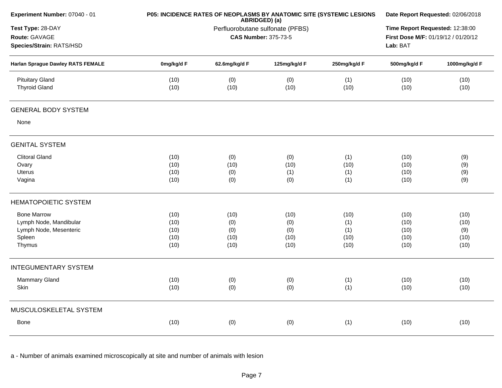|              | Date Report Requested: 02/06/2018                                                |                                           |                                           |                                           |                                                                                                                                    |
|--------------|----------------------------------------------------------------------------------|-------------------------------------------|-------------------------------------------|-------------------------------------------|------------------------------------------------------------------------------------------------------------------------------------|
|              | ABRIDGED) (a)<br>Perfluorobutane sulfonate (PFBS)<br><b>CAS Number: 375-73-5</b> |                                           |                                           |                                           |                                                                                                                                    |
| 0mg/kg/d F   | 62.6mg/kg/d F                                                                    | 125mg/kg/d F                              | 250mg/kg/d F                              | 500mg/kg/d F                              | 1000mg/kg/d F                                                                                                                      |
| (10)<br>(10) | (0)<br>(10)                                                                      | (0)<br>(10)                               | (1)<br>(10)                               | (10)<br>(10)                              | (10)<br>(10)                                                                                                                       |
|              |                                                                                  |                                           |                                           |                                           |                                                                                                                                    |
|              |                                                                                  |                                           |                                           |                                           |                                                                                                                                    |
|              |                                                                                  |                                           |                                           |                                           |                                                                                                                                    |
| (10)         | (0)                                                                              | (0)                                       | (1)                                       | (10)                                      | (9)                                                                                                                                |
| (10)         | (10)                                                                             | (10)                                      | (10)                                      | (10)                                      | (9)                                                                                                                                |
|              |                                                                                  |                                           |                                           |                                           | (9)                                                                                                                                |
|              |                                                                                  |                                           |                                           |                                           | (9)                                                                                                                                |
|              |                                                                                  |                                           |                                           |                                           |                                                                                                                                    |
|              |                                                                                  |                                           |                                           |                                           | (10)                                                                                                                               |
| (10)         | (0)                                                                              | (0)                                       | (1)                                       | (10)                                      | (10)                                                                                                                               |
| (10)         | (0)                                                                              | (0)                                       | (1)                                       | (10)                                      | (9)                                                                                                                                |
|              |                                                                                  |                                           |                                           |                                           | (10)                                                                                                                               |
|              |                                                                                  |                                           |                                           |                                           | (10)                                                                                                                               |
|              |                                                                                  |                                           |                                           |                                           |                                                                                                                                    |
| (10)         |                                                                                  |                                           |                                           |                                           | (10)                                                                                                                               |
| (10)         | (0)                                                                              | (0)                                       | (1)                                       | (10)                                      | (10)                                                                                                                               |
|              |                                                                                  |                                           |                                           |                                           |                                                                                                                                    |
| (10)         | (0)                                                                              | (0)                                       | (1)                                       | (10)                                      | (10)                                                                                                                               |
|              | (10)<br>(10)<br>(10)<br>(10)<br>(10)                                             | (0)<br>(0)<br>(10)<br>(10)<br>(10)<br>(0) | (1)<br>(0)<br>(10)<br>(10)<br>(10)<br>(0) | (1)<br>(1)<br>(10)<br>(10)<br>(10)<br>(1) | Time Report Requested: 12:38:00<br>First Dose M/F: 01/19/12 / 01/20/12<br>Lab: BAT<br>(10)<br>(10)<br>(10)<br>(10)<br>(10)<br>(10) |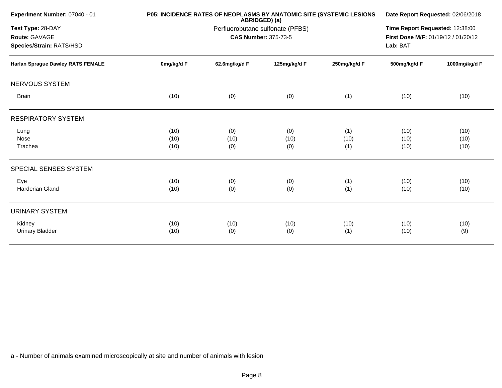| Experiment Number: 07040 - 01            |            | P05: INCIDENCE RATES OF NEOPLASMS BY ANATOMIC SITE (SYSTEMIC LESIONS<br>ABRIDGED) (a) | Date Report Requested: 02/06/2018 |              |                                     |               |
|------------------------------------------|------------|---------------------------------------------------------------------------------------|-----------------------------------|--------------|-------------------------------------|---------------|
| Test Type: 28-DAY                        |            | Perfluorobutane sulfonate (PFBS)                                                      |                                   |              |                                     |               |
| Route: GAVAGE                            |            |                                                                                       | <b>CAS Number: 375-73-5</b>       |              | First Dose M/F: 01/19/12 / 01/20/12 |               |
| Species/Strain: RATS/HSD                 |            |                                                                                       |                                   |              | Lab: BAT                            |               |
| <b>Harlan Sprague Dawley RATS FEMALE</b> | 0mg/kg/d F | 62.6mg/kg/d F                                                                         | 125mg/kg/d F                      | 250mg/kg/d F | 500mg/kg/d F                        | 1000mg/kg/d F |
| <b>NERVOUS SYSTEM</b>                    |            |                                                                                       |                                   |              |                                     |               |
| <b>Brain</b>                             | (10)       | (0)                                                                                   | (0)                               | (1)          | (10)                                | (10)          |
| <b>RESPIRATORY SYSTEM</b>                |            |                                                                                       |                                   |              |                                     |               |
| Lung                                     | (10)       | (0)                                                                                   | (0)                               | (1)          | (10)                                | (10)          |
| Nose                                     | (10)       | (10)                                                                                  | (10)                              | (10)         | (10)                                | (10)          |
| Trachea                                  | (10)       | (0)                                                                                   | (0)                               | (1)          | (10)                                | (10)          |
| SPECIAL SENSES SYSTEM                    |            |                                                                                       |                                   |              |                                     |               |
| Eye                                      | (10)       | (0)                                                                                   | (0)                               | (1)          | (10)                                | (10)          |
| <b>Harderian Gland</b>                   | (10)       | (0)                                                                                   | (0)                               | (1)          | (10)                                | (10)          |
| <b>URINARY SYSTEM</b>                    |            |                                                                                       |                                   |              |                                     |               |
| Kidney                                   | (10)       | (10)                                                                                  | (10)                              | (10)         | (10)                                | (10)          |
| <b>Urinary Bladder</b>                   | (10)       | (0)                                                                                   | (0)                               | (1)          | (10)                                | (9)           |
|                                          |            |                                                                                       |                                   |              |                                     |               |